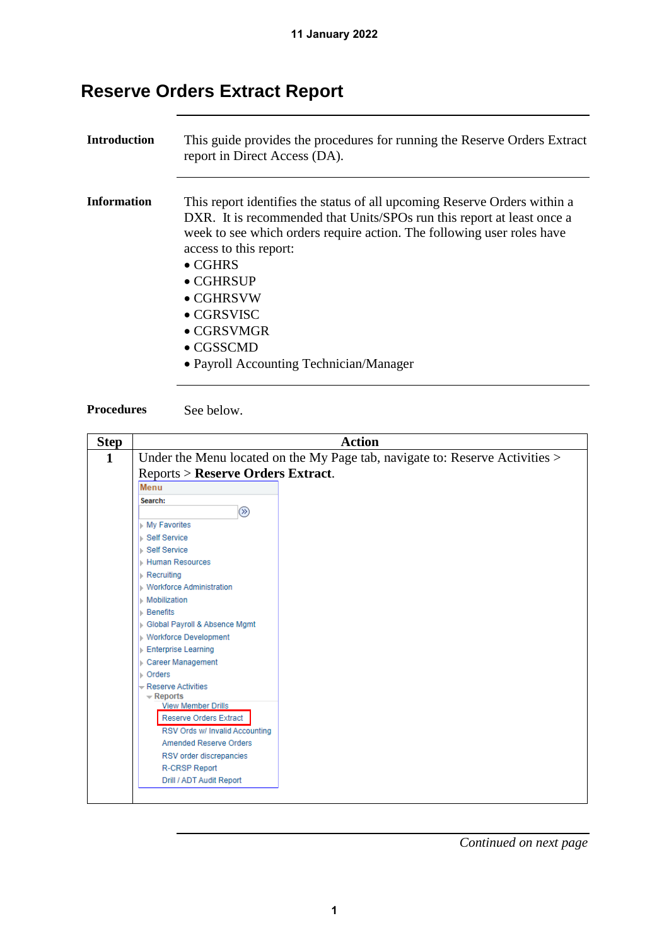## **Reserve Orders Extract Report**

| <b>Introduction</b> | This guide provides the procedures for running the Reserve Orders Extract<br>report in Direct Access (DA).                                                                                                                                                                                                                                                                                                                       |
|---------------------|----------------------------------------------------------------------------------------------------------------------------------------------------------------------------------------------------------------------------------------------------------------------------------------------------------------------------------------------------------------------------------------------------------------------------------|
| Information         | This report identifies the status of all upcoming Reserve Orders within a<br>DXR. It is recommended that Units/SPOs run this report at least once a<br>week to see which orders require action. The following user roles have<br>access to this report:<br>$\bullet$ CGHRS<br>$\bullet$ CGHRSUP<br>$\bullet$ CGHRSVW<br>$\bullet$ CGRSVISC<br>$\bullet$ CGRSVMGR<br>$\bullet$ CGSSCMD<br>• Payroll Accounting Technician/Manager |



| <b>Step</b>  | <b>Action</b>                                                                |  |  |  |
|--------------|------------------------------------------------------------------------------|--|--|--|
| $\mathbf{1}$ | Under the Menu located on the My Page tab, navigate to: Reserve Activities > |  |  |  |
|              | <b>Reports &gt; Reserve Orders Extract.</b>                                  |  |  |  |
|              | Menu                                                                         |  |  |  |
|              | Search:<br>$(\overline{\mathbb{Z}})$                                         |  |  |  |
|              | ▶ My Favorites                                                               |  |  |  |
|              | ▶ Self Service                                                               |  |  |  |
|              | ⊪ Self Service                                                               |  |  |  |
|              | <b>Human Resources</b>                                                       |  |  |  |
|              | $\triangleright$ Recruiting                                                  |  |  |  |
|              | ▶ Workforce Administration                                                   |  |  |  |
|              | <b>Mobilization</b>                                                          |  |  |  |
|              | <b>Benefits</b>                                                              |  |  |  |
|              | Global Payroll & Absence Mgmt                                                |  |  |  |
|              | ▶ Workforce Development                                                      |  |  |  |
|              | Enterprise Learning                                                          |  |  |  |
|              | Career Management                                                            |  |  |  |
|              | $\triangleright$ Orders                                                      |  |  |  |
|              | - Reserve Activities                                                         |  |  |  |
|              | $\overline{\phantom{a}}$ Reports<br><b>View Member Drills</b>                |  |  |  |
|              | <b>Reserve Orders Extract</b>                                                |  |  |  |
|              | RSV Ords w/ Invalid Accounting                                               |  |  |  |
|              | <b>Amended Reserve Orders</b>                                                |  |  |  |
|              | RSV order discrepancies                                                      |  |  |  |
|              | <b>R-CRSP Report</b>                                                         |  |  |  |
|              | Drill / ADT Audit Report                                                     |  |  |  |
|              |                                                                              |  |  |  |
|              |                                                                              |  |  |  |

*Continued on next page*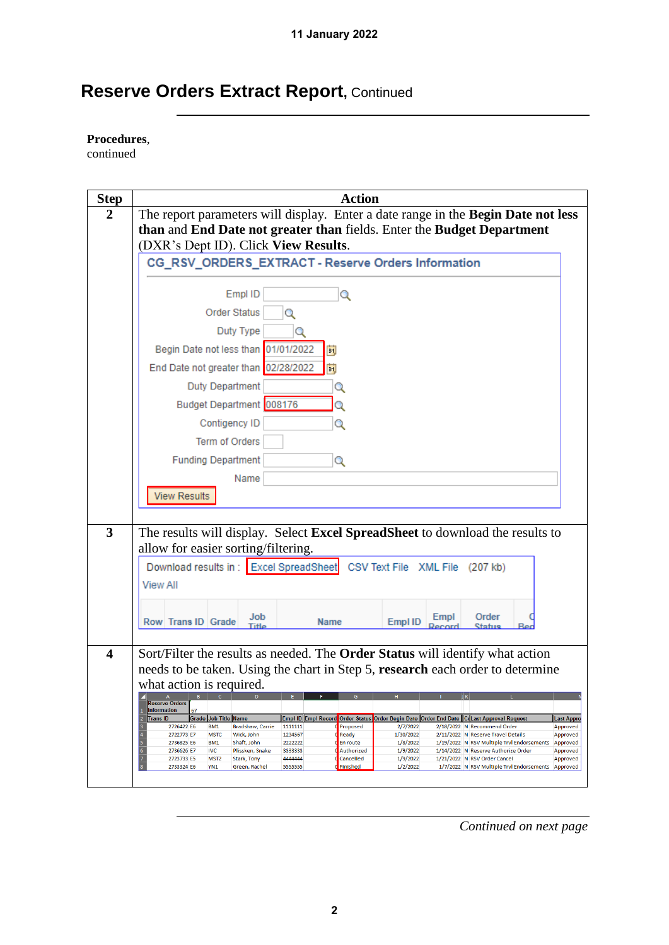## **Reserve Orders Extract Report, Continued**

**Procedures**,

continued

| <b>Step</b>             | <b>Action</b>                                                                                                                                                                                                                                                                                                     |  |  |  |  |  |
|-------------------------|-------------------------------------------------------------------------------------------------------------------------------------------------------------------------------------------------------------------------------------------------------------------------------------------------------------------|--|--|--|--|--|
| $\boldsymbol{2}$        | The report parameters will display. Enter a date range in the Begin Date not less                                                                                                                                                                                                                                 |  |  |  |  |  |
|                         | than and End Date not greater than fields. Enter the Budget Department                                                                                                                                                                                                                                            |  |  |  |  |  |
|                         | (DXR's Dept ID). Click View Results.                                                                                                                                                                                                                                                                              |  |  |  |  |  |
|                         | CG_RSV_ORDERS_EXTRACT - Reserve Orders Information                                                                                                                                                                                                                                                                |  |  |  |  |  |
|                         | Empl ID<br>Q                                                                                                                                                                                                                                                                                                      |  |  |  |  |  |
|                         | <b>Order Status</b><br>Q                                                                                                                                                                                                                                                                                          |  |  |  |  |  |
|                         | Duty Type<br>О                                                                                                                                                                                                                                                                                                    |  |  |  |  |  |
|                         | Begin Date not less than 01/01/2022<br>Eij                                                                                                                                                                                                                                                                        |  |  |  |  |  |
|                         | End Date not greater than 02/28/2022<br>F)                                                                                                                                                                                                                                                                        |  |  |  |  |  |
|                         | <b>Duty Department</b><br>Q                                                                                                                                                                                                                                                                                       |  |  |  |  |  |
|                         | Budget Department 008176<br>Q                                                                                                                                                                                                                                                                                     |  |  |  |  |  |
|                         | Contigency ID<br>Q                                                                                                                                                                                                                                                                                                |  |  |  |  |  |
|                         | Term of Orders                                                                                                                                                                                                                                                                                                    |  |  |  |  |  |
|                         | <b>Funding Department</b><br>Q                                                                                                                                                                                                                                                                                    |  |  |  |  |  |
|                         | Name                                                                                                                                                                                                                                                                                                              |  |  |  |  |  |
|                         | <b>View Results</b>                                                                                                                                                                                                                                                                                               |  |  |  |  |  |
|                         |                                                                                                                                                                                                                                                                                                                   |  |  |  |  |  |
| 3                       | The results will display. Select Excel SpreadSheet to download the results to                                                                                                                                                                                                                                     |  |  |  |  |  |
|                         | allow for easier sorting/filtering.                                                                                                                                                                                                                                                                               |  |  |  |  |  |
|                         | Download results in : Excel SpreadSheet<br>CSV Text File XML File (207 kb)                                                                                                                                                                                                                                        |  |  |  |  |  |
|                         | <b>View All</b>                                                                                                                                                                                                                                                                                                   |  |  |  |  |  |
|                         | Job<br>Order<br>Empl<br>Row Trans ID Grade<br>Empl ID<br><b>Name</b>                                                                                                                                                                                                                                              |  |  |  |  |  |
|                         | Title<br>Status                                                                                                                                                                                                                                                                                                   |  |  |  |  |  |
| $\overline{\mathbf{4}}$ | Sort/Filter the results as needed. The <b>Order Status</b> will identify what action                                                                                                                                                                                                                              |  |  |  |  |  |
|                         | needs to be taken. Using the chart in Step 5, research each order to determine                                                                                                                                                                                                                                    |  |  |  |  |  |
|                         | what action is required.                                                                                                                                                                                                                                                                                          |  |  |  |  |  |
|                         | $\, {\bf B} \,$<br>$\mathbb A$<br>G<br><b>Reserve Orders</b><br>Information<br>67                                                                                                                                                                                                                                 |  |  |  |  |  |
|                         | Empl ID Empl Record Order Status Order Begin Date Order End Date CLast Approval Request<br><b>Trans ID</b><br>Grade Job Title Name<br><b>Last Appro</b><br>3<br>Bradshaw, Carrie<br>Proposed<br>2/7/2022<br>2/18/2022 N Recommend Order<br>Approved<br>2726422 E6<br>BM <sub>1</sub><br>1111111                   |  |  |  |  |  |
|                         | $\overline{\mathbf{4}}$<br>2722773 E7<br><b>MSTC</b><br>Wick, John<br>1234567<br>Ready<br>1/30/2022<br>2/11/2022 N Reserve Travel Details<br>Approved<br>$\overline{\mathbf{5}}$<br>2736825 E6<br>BM1<br>Shaft, John<br>2222222<br>En route<br>1/8/2022<br>1/19/2022 N RSV Multiple Trvl Endorsements<br>Approved |  |  |  |  |  |
|                         | $\boldsymbol{6}$<br>Authorized<br>1/9/2022<br>1/14/2022 N Reserve Authorize Order<br>Approved<br>2736626 E7<br><b>IVC</b><br>Plissken, Snake<br>3333333<br>$\overline{\mathbf{7}}$<br>4444444<br>Cancelled<br>1/9/2022<br>1/21/2022 N RSV Order Cancel<br>Approved<br>2723733 E5<br>MST <sub>2</sub>              |  |  |  |  |  |
|                         | Stark, Tony<br>$\bf{8}$<br>2733324 E6<br>YN <sub>1</sub><br>Green, Rachel<br>5555555<br>Finished<br>1/2/2022<br>1/7/2022 N RSV Multiple Trvl Endorsements Approved                                                                                                                                                |  |  |  |  |  |
|                         |                                                                                                                                                                                                                                                                                                                   |  |  |  |  |  |

*Continued on next page*